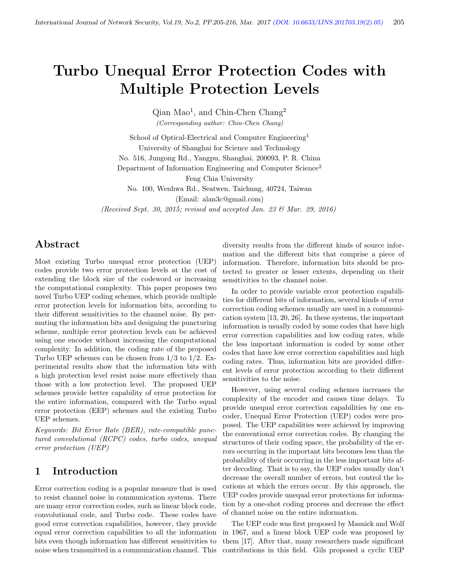# Turbo Unequal Error Protection Codes with Multiple Protection Levels

Qian Mao<sup>1</sup>, and Chin-Chen Chang<sup>2</sup> (Corresponding author: Chin-Chen Chang)

School of Optical-Electrical and Computer Engineering<sup>1</sup> University of Shanghai for Science and Technology No. 516, Jungong Rd., Yangpu, Shanghai, 200093, P. R. China Department of Information Engineering and Computer Science<sup>2</sup> Feng Chia University No. 100, Wenhwa Rd., Seatwen, Taichung, 40724, Taiwan

(Email: alan3c@gmail.com)

(Received Sept. 30, 2015; revised and accepted Jan. 23 & Mar. 29, 2016)

# Abstract

Most existing Turbo unequal error protection (UEP) codes provide two error protection levels at the cost of extending the block size of the codeword or increasing the computational complexity. This paper proposes two novel Turbo UEP coding schemes, which provide multiple error protection levels for information bits, according to their different sensitivities to the channel noise. By permuting the information bits and designing the puncturing scheme, multiple error protection levels can be achieved using one encoder without increasing the computational complexity. In addition, the coding rate of the proposed Turbo UEP schemes can be chosen from 1/3 to 1/2. Experimental results show that the information bits with a high protection level resist noise more effectively than those with a low protection level. The proposed UEP schemes provide better capability of error protection for the entire information, compared with the Turbo equal error protection (EEP) schemes and the existing Turbo UEP schemes.

Keywords: Bit Error Rate (BER), rate-compatible punctured convolutional (RCPC) codes, turbo codes, unequal error protection (UEP)

# 1 Introduction

Error correction coding is a popular measure that is used to resist channel noise in communication systems. There are many error correction codes, such as linear block code, convolutional code, and Turbo code. These codes have good error correction capabilities, however, they provide equal error correction capabilities to all the information bits even though information has different sensitivities to noise when transmitted in a communication channel. This

diversity results from the different kinds of source information and the different bits that comprise a piece of information. Therefore, information bits should be protected to greater or lesser extents, depending on their sensitivities to the channel noise.

In order to provide variable error protection capabilities for different bits of information, several kinds of error correction coding schemes usually are used in a communication system [13, 20, 26]. In these systems, the important information is usually coded by some codes that have high error correction capabilities and low coding rates, while the less important information is coded by some other codes that have low error correction capabilities and high coding rates. Thus, information bits are provided different levels of error protection according to their different sensitivities to the noise.

However, using several coding schemes increases the complexity of the encoder and causes time delays. To provide unequal error correction capabilities by one encoder, Unequal Error Protection (UEP) codes were proposed. The UEP capabilities were achieved by improving the conventional error correction codes. By changing the structures of their coding space, the probability of the errors occurring in the important bits becomes less than the probability of their occurring in the less important bits after decoding. That is to say, the UEP codes usually don't decrease the overall number of errors, but control the locations at which the errors occur. By this approach, the UEP codes provide unequal error protections for information by a one-shot coding process and decrease the effect of channel noise on the entire information.

The UEP code was first proposed by Masnick and Wolf in 1967, and a linear block UEP code was proposed by them [17]. After that, many researchers made significant contributions in this field. Gils proposed a cyclic UEP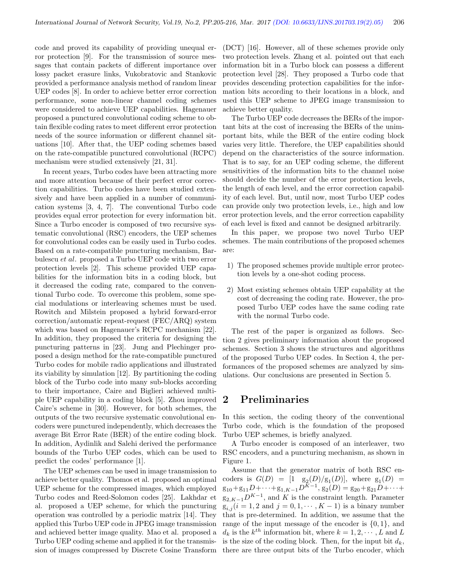code and proved its capability of providing unequal error protection [9]. For the transmission of source messages that contain packets of different importance over lossy packet erasure links, Vukobratovic and Stankovic provided a performance analysis method of random linear UEP codes [8]. In order to achieve better error correction performance, some non-linear channel coding schemes were considered to achieve UEP capabilities. Hagenauer proposed a punctured convolutional coding scheme to obtain flexible coding rates to meet different error protection needs of the source information or different channel situations [10]. After that, the UEP coding schemes based on the rate-compatible punctured convolutional (RCPC) mechanism were studied extensively [21, 31].

In recent years, Turbo codes have been attracting more and more attention because of their perfect error correction capabilities. Turbo codes have been studied extensively and have been applied in a number of communication systems [3, 4, 7]. The conventional Turbo code provides equal error protection for every information bit. Since a Turbo encoder is composed of two recursive systematic convolutional (RSC) encoders, the UEP schemes for convolutional codes can be easily used in Turbo codes. Based on a rate-compatible puncturing mechanism, Barbulescu et al. proposed a Turbo UEP code with two error protection levels [2]. This scheme provided UEP capabilities for the information bits in a coding block, but it decreased the coding rate, compared to the conventional Turbo code. To overcome this problem, some special modulations or interleaving schemes must be used. Rowitch and Milstein proposed a hybrid forward-error correction/automatic repeat-request (FEC/ARQ) system which was based on Hagenauer's RCPC mechanism [22]. In addition, they proposed the criteria for designing the puncturing patterns in [23]. Jung and Plechinger proposed a design method for the rate-compatible punctured Turbo codes for mobile radio applications and illustrated its viability by simulation [12]. By partitioning the coding block of the Turbo code into many sub-blocks according to their importance, Caire and Biglieri achieved multiple UEP capability in a coding block [5]. Zhou improved Caire's scheme in [30]. However, for both schemes, the outputs of the two recursive systematic convolutional encoders were punctured independently, which decreases the average Bit Error Rate (BER) of the entire coding block. In addition, Aydinlik and Salehi derived the performance bounds of the Turbo UEP codes, which can be used to predict the codes' performance [1].

The UEP schemes can be used in image transmission to achieve better quality. Thomos et al. proposed an optimal UEP scheme for the compressed images, which employed Turbo codes and Reed-Solomon codes [25]. Lakhdar et al. proposed a UEP scheme, for which the puncturing operation was controlled by a periodic matrix [14]. They applied this Turbo UEP code in JPEG image transmission and achieved better image quality. Mao et al. proposed a Turbo UEP coding scheme and applied it for the transmission of images compressed by Discrete Cosine Transform (DCT) [16]. However, all of these schemes provide only two protection levels. Zhang et al. pointed out that each information bit in a Turbo block can possess a different protection level [28]. They proposed a Turbo code that provides descending protection capabilities for the information bits according to their locations in a block, and used this UEP scheme to JPEG image transmission to achieve better quality.

The Turbo UEP code decreases the BERs of the important bits at the cost of increasing the BERs of the unimportant bits, while the BER of the entire coding block varies very little. Therefore, the UEP capabilities should depend on the characteristics of the source information. That is to say, for an UEP coding scheme, the different sensitivities of the information bits to the channel noise should decide the number of the error protection levels, the length of each level, and the error correction capability of each level. But, until now, most Turbo UEP codes can provide only two protection levels, i.e., high and low error protection levels, and the error correction capability of each level is fixed and cannot be designed arbitrarily.

In this paper, we propose two novel Turbo UEP schemes. The main contributions of the proposed schemes are:

- 1) The proposed schemes provide multiple error protection levels by a one-shot coding process.
- 2) Most existing schemes obtain UEP capability at the cost of decreasing the coding rate. However, the proposed Turbo UEP codes have the same coding rate with the normal Turbo code.

The rest of the paper is organized as follows. Section 2 gives preliminary information about the proposed schemes. Section 3 shows the structures and algorithms of the proposed Turbo UEP codes. In Section 4, the performances of the proposed schemes are analyzed by simulations. Our conclusions are presented in Section 5.

## 2 Preliminaries

In this section, the coding theory of the conventional Turbo code, which is the foundation of the proposed Turbo UEP schemes, is briefly analyzed.

A Turbo encoder is composed of an interleaver, two RSC encoders, and a puncturing mechanism, as shown in Figure 1.

Assume that the generator matrix of both RSC encoders is  $G(D) = [1 \text{ g}_2(D)/g_1(D)]$ , where  $g_1(D) =$  $g_{10} + g_{11}D + \cdots + g_{1,K-1}D^{K-1}, g_2(D) = g_{20} + g_{21}D + \cdots +$  $g_{2,K-1}D^{K-1}$ , and K is the constraint length. Parameter  $g_{i,j}$   $(i = 1, 2 \text{ and } j = 0, 1, \dots, K - 1)$  is a binary number that is pre-determined. In addition, we assume that the range of the input message of the encoder is  $\{0, 1\}$ , and  $d_k$  is the  $k^{th}$  information bit, where  $k = 1, 2, \dots, L$  and L is the size of the coding block. Then, for the input bit  $d_k$ , there are three output bits of the Turbo encoder, which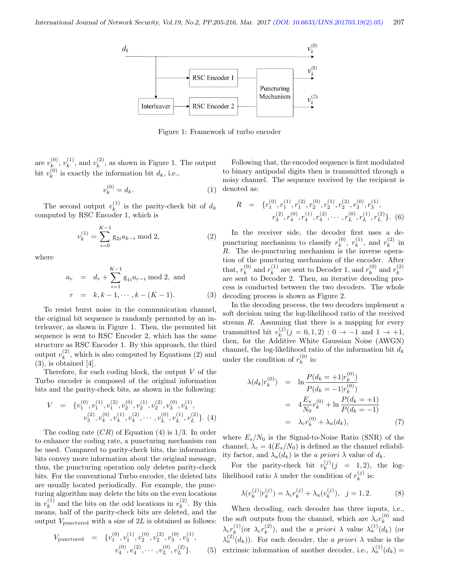

Figure 1: Framework of turbo encoder

are  $v_k^{(0)}$  $\binom{(0)}{k},\,v_k^{(1)}$  $\binom{(1)}{k}$ , and  $v_k^{(2)}$  $\binom{2}{k}$ , as shown in Figure 1. The output bit  $v_k^{(0)}$  $k_k^{(0)}$  is exactly the information bit  $d_k$ , i.e.,

$$
v_k^{(0)} = d_k. \tag{1}
$$

The second output  $v_k^{(1)}$  $\kappa^{(1)}$  is the parity-check bit of  $d_k$ computed by RSC Encoder 1, which is

$$
v_k^{(1)} = \sum_{i=0}^{K-1} g_{2i} a_{k-i} \text{ mod } 2,
$$
 (2)

where

$$
a_r = d_r + \sum_{i=1}^{K-1} g_{1i} a_{r-i} \mod 2, \text{ and}
$$
  
\n
$$
r = k, k-1, \cdots, k-(K-1).
$$
 (3)

To resist burst noise in the communication channel, the original bit sequence is randomly permuted by an interleaver, as shown in Figure 1. Then, the permuted bit sequence is sent to RSC Encoder 2, which has the same structure as RSC Encoder 1. By this approach, the third output  $v_k^{(2)}$  $\binom{2}{k}$ , which is also computed by Equations (2) and  $(3)$ , is obtained [4].

Therefore, for each coding block, the output  $V$  of the Turbo encoder is composed of the original information bits and the parity-check bits, as shown in the following:

$$
V = \{v_1^{(0)}, v_1^{(1)}, v_1^{(2)}, v_2^{(0)}, v_2^{(1)}, v_2^{(2)}, v_3^{(0)}, v_3^{(1)}, v_3^{(2)}, v_4^{(0)}, v_4^{(1)}, v_4^{(2)}, \cdots, v_L^{(0)}, v_L^{(1)}, v_L^{(2)}\}.
$$
 (4)

The coding rate  $(CR)$  of Equation (4) is  $1/3$ . In order to enhance the coding rate, a puncturing mechanism can be used. Compared to parity-check bits, the information bits convey more information about the original message, thus, the puncturing operation only deletes parity-check bits. For the conventional Turbo encoder, the deleted bits are usually located periodically. For example, the puncturing algorithm may delete the bits on the even locations in  $v_k^{(1)}$  $k<sup>(1)</sup>$  and the bits on the odd locations in  $v<sup>(2)</sup>$  $k^{(2)}$ . By this means, half of the parity-check bits are deleted, and the output  $V_{\text{punctured}}$  with a size of  $2L$  is obtained as follows:

$$
V_{\text{punctured}} = \{v_1^{(0)}, v_1^{(1)}, v_2^{(0)}, v_2^{(2)}, v_3^{(0)}, v_3^{(1)}, v_4^{(0)}, v_4^{(2)}, \cdots, v_L^{(0)}, v_L^{(2)}\}.
$$
 (5)

Following that, the encoded sequence is first modulated to binary antipodal digits then is transmitted through a noisy channel. The sequence received by the recipient is denoted as:

$$
R = \{r_1^{(0)}, r_1^{(1)}, r_1^{(2)}, r_2^{(0)}, r_2^{(1)}, r_2^{(2)}, r_3^{(0)}, r_3^{(1)}, r_3^{(2)}, r_4^{(0)}, r_4^{(1)}, r_4^{(2)}, \cdots, r_L^{(0)}, r_L^{(1)}, r_L^{(2)}\}.
$$
 (6)

In the receiver side, the decoder first uses a depuncturing mechanism to classify  $r_k^{(0)}$  $\binom{(0)}{k}, r_k^{(1)}$  $\binom{1}{k}$ , and  $r_k^{(2)}$  $\frac{1}{k}$  in R. The de-puncturing mechanism is the inverse operation of the puncturing mechanism of the encoder. After that,  $r_k^{(0)}$  $\binom{0}{k}$  and  $r_k^{(1)}$  $k_k^{(1)}$  are sent to Decoder 1, and  $r_k^{(0)}$  $\binom{0}{k}$  and  $r_k^{(2)}$ k are sent to Decoder 2. Then, an iterative decoding process is conducted between the two decoders. The whole decoding process is shown as Figure 2.

In the decoding process, the two decoders implement a soft decision using the log-likelihood ratio of the received stream  $R$ . Assuming that there is a mapping for every transmitted bit  $v_k^{(j)}$  $_{k}^{(j)}(j = 0, 1, 2) : 0 \rightarrow -1 \text{ and } 1 \rightarrow +1,$ then, for the Additive White Gaussian Noise (AWGN) channel, the log-likelihood ratio of the information bit  $d_k$ under the condition of  $r_k^{(0)}$  $\frac{1}{k}$  is:

$$
\lambda(d_k|r_k^{(0)}) = \ln \frac{P(d_k = +1|r_k^{(0)})}{P(d_k = -1|r_k^{(0)})}
$$
  
=  $4 \frac{E_s}{N_0} r_k^{(0)} + \ln \frac{P(d_k = +1)}{P(d_k = -1)}$   
=  $\lambda_c r_k^{(0)} + \lambda_a(d_k),$  (7)

where  $E_s/N_0$  is the Signal-to-Noise Ratio (SNR) of the channel,  $\lambda_c = 4(E_s/N_0)$  is defined as the channel reliability factor, and  $\lambda_a(d_k)$  is the a priori  $\lambda$  value of  $d_k$ .

For the parity-check bit  $v_k^{(j)}$  $k^{(j)}(j = 1, 2)$ , the loglikelihood ratio  $\lambda$  under the condition of  $r_k^{(j)}$  $\frac{f^{(j)}}{k}$  is:

$$
\lambda(v_k^{(j)}|r_k^{(j)}) = \lambda_c r_k^{(j)} + \lambda_a(v_k^{(j)}), \ \ j = 1, 2. \tag{8}
$$

}. (5) extrinsic information of another decoder, i.e.,  $\lambda_a^{(1)}(d_k) =$ When decoding, each decoder has three inputs, i.e., the soft outputs from the channel, which are  $\lambda_c r_k^{(0)}$  $\binom{0}{k}$  and  $\lambda_c r_k^{(1)}$  $\chi_k^{(1)}$  (or  $\lambda_c r_k^{(2)}$  $\lambda_k^{(2)}$ ), and the *a priori*  $\lambda$  value  $\lambda_a^{(1)}(d_k)$  (or  $\lambda_a^{(2)}(d_k)$ ). For each decoder, the *a priori*  $\lambda$  value is the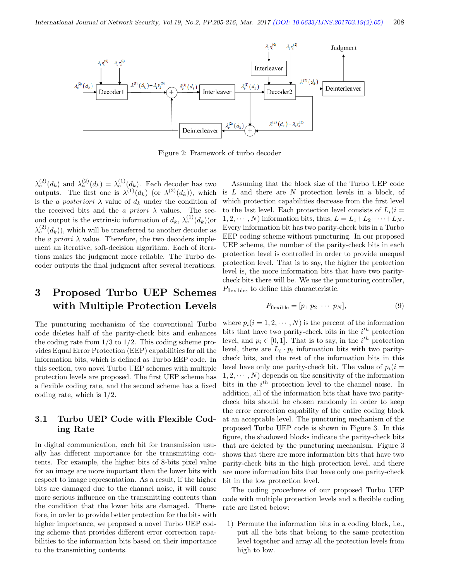

Figure 2: Framework of turbo decoder

 $\lambda_e^{(2)}(d_k)$  and  $\lambda_a^{(2)}(d_k) = \lambda_e^{(1)}(d_k)$ . Each decoder has two outputs. The first one is  $\lambda^{(1)}(d_k)$  (or  $\lambda^{(2)}(d_k)$ ), which is the a posteriori  $\lambda$  value of  $d_k$  under the condition of the received bits and the a priori  $\lambda$  values. The second output is the extrinsic information of  $d_k$ ,  $\lambda_e^{(1)}(d_k)$  (or  $\lambda_e^{(2)}(d_k)$ , which will be transferred to another decoder as the *a priori*  $\lambda$  value. Therefore, the two decoders implement an iterative, soft-decision algorithm. Each of iterations makes the judgment more reliable. The Turbo decoder outputs the final judgment after several iterations.

# 3 Proposed Turbo UEP Schemes with Multiple Protection Levels

The puncturing mechanism of the conventional Turbo code deletes half of the parity-check bits and enhances the coding rate from  $1/3$  to  $1/2$ . This coding scheme provides Equal Error Protection (EEP) capabilities for all the information bits, which is defined as Turbo EEP code. In this section, two novel Turbo UEP schemes with multiple protection levels are proposed. The first UEP scheme has a flexible coding rate, and the second scheme has a fixed coding rate, which is 1/2.

#### 3.1 Turbo UEP Code with Flexible Coding Rate

In digital communication, each bit for transmission usually has different importance for the transmitting contents. For example, the higher bits of 8-bits pixel value for an image are more important than the lower bits with respect to image representation. As a result, if the higher bits are damaged due to the channel noise, it will cause more serious influence on the transmitting contents than the condition that the lower bits are damaged. Therefore, in order to provide better protection for the bits with higher importance, we proposed a novel Turbo UEP coding scheme that provides different error correction capabilities to the information bits based on their importance to the transmitting contents.

Assuming that the block size of the Turbo UEP code is  $L$  and there are  $N$  protection levels in a block, of which protection capabilities decrease from the first level to the last level. Each protection level consists of  $L_i(i =$  $1, 2, \cdots, N$  information bits, thus,  $L = L_1 + L_2 + \cdots + L_N$ . Every information bit has two parity-check bits in a Turbo EEP coding scheme without puncturing. In our proposed UEP scheme, the number of the parity-check bits in each protection level is controlled in order to provide unequal protection level. That is to say, the higher the protection level is, the more information bits that have two paritycheck bits there will be. We use the puncturing controller,  $P_{\text{flexible}}$ , to define this characteristic.

$$
P_{\text{flexible}} = [p_1 \ p_2 \ \cdots \ p_N],\tag{9}
$$

where  $p_i(i = 1, 2, \dots, N)$  is the percent of the information bits that have two parity-check bits in the  $i^{th}$  protection level, and  $p_i \in [0, 1]$ . That is to say, in the  $i^{th}$  protection level, there are  $L_i \cdot p_i$  information bits with two paritycheck bits, and the rest of the information bits in this level have only one parity-check bit. The value of  $p_i(i =$  $1, 2, \cdots, N$  depends on the sensitivity of the information bits in the  $i^{th}$  protection level to the channel noise. In addition, all of the information bits that have two paritycheck bits should be chosen randomly in order to keep the error correction capability of the entire coding block at an acceptable level. The puncturing mechanism of the proposed Turbo UEP code is shown in Figure 3. In this figure, the shadowed blocks indicate the parity-check bits that are deleted by the puncturing mechanism. Figure 3 shows that there are more information bits that have two parity-check bits in the high protection level, and there are more information bits that have only one parity-check bit in the low protection level.

The coding procedures of our proposed Turbo UEP code with multiple protection levels and a flexible coding rate are listed below:

1) Permute the information bits in a coding block, i.e., put all the bits that belong to the same protection level together and array all the protection levels from high to low.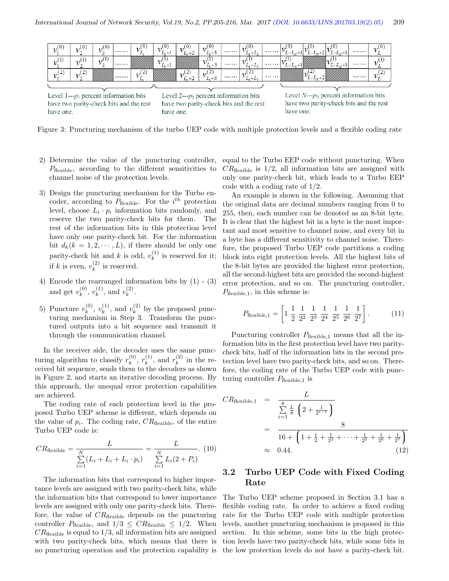

Level  $1--p_1$  percent information bits have two parity-check bits and the rest have one.

Level 2--- $p_2$  percent information bits have two parity-check bits and the rest have one.

Level  $N \leftarrow p_N$  percent information bits have two parity-check bits and the rest have one.

Figure 3: Puncturing mechanism of the turbo UEP code with multiple protection levels and a flexible coding rate

- 2) Determine the value of the puncturing controller,  $P_{\text{flexible}}$ , according to the different sensitivities to channel noise of the protection levels.
- 3) Design the puncturing mechanism for the Turbo encoder, according to  $P_{\text{flexible}}$ . For the  $i^{th}$  protection level, choose  $L_i \cdot p_i$  information bits randomly, and reserve the two parity-check bits for them. The rest of the information bits in this protection level have only one parity-check bit. For the information bit  $d_k(k = 1, 2, \dots, L)$ , if there should be only one parity-check bit and k is odd,  $v_k^{(1)}$  $\binom{1}{k}$  is reserved for it; if k is even,  $v_k^{(2)}$  $\binom{2}{k}$  is reserved.
- 4) Encode the rearranged information bits by (1) (3) and get  $v_k^{(0)}$  $\binom{(0)}{k}, \, v_k^{(1)}$  $\binom{1}{k}$ , and  $v_k^{(2)}$  $\binom{2}{k}$ .
- 5) Puncture  $v_k^{(0)}$  $\binom{(0)}{k}, \; v_k^{(1)}$  $v_k^{(1)}$ , and  $v_k^{(2)}$  $k^{(2)}$  by the proposed puncturing mechanism in Step 3. Transform the punctured outputs into a bit sequence and transmit it through the communication channel.

In the receiver side, the decoder uses the same puncturing algorithm to classify  $r_k^{(0)}$  $\binom{(0)}{k}, r_k^{(1)}$  $\binom{(1)}{k}$ , and  $r_k^{(2)}$  $\binom{2}{k}$  in the received bit sequence, sends them to the decoders as shown in Figure 2, and starts an iterative decoding process. By this approach, the unequal error protection capabilities are achieved.

The coding rate of each protection level in the proposed Turbo UEP scheme is different, which depends on the value of  $p_i$ . The coding rate,  $CR_{\text{flexible}}$ , of the entire Turbo UEP code is:

$$
CR_{\text{flexible}} = \frac{L}{\sum_{i=1}^{N} (L_i + L_i + L_i \cdot p_i)} = \frac{L}{\sum_{i=1}^{N} L_i (2 + P_i)}.
$$
 (10)

The information bits that correspond to higher importance levels are assigned with two parity-check bits, while the information bits that correspond to lower importance levels are assigned with only one parity-check bits. Therefore, the value of  $CR<sub>flexible</sub>$  depends on the puncturing controller  $P_{\text{flexible}}$ , and  $1/3 \leq CR_{\text{flexible}} \leq 1/2$ . When  $CR_{\text{flexible}}$  is equal to  $1/3$ , all information bits are assigned with two parity-check bits, which means that there is no puncturing operation and the protection capability is

equal to the Turbo EEP code without puncturing. When  $CR_{\text{flexible}}$  is  $1/2$ , all information bits are assigned with only one parity-check bit, which leads to a Turbo EEP code with a coding rate of 1/2.

An example is shown in the following. Assuming that the original data are decimal numbers ranging from 0 to 255, then, each number can be denoted as an 8-bit byte. It is clear that the highest bit in a byte is the most important and most sensitive to channel noise, and every bit in a byte has a different sensitivity to channel noise. Therefore, the proposed Turbo UEP code partitions a coding block into eight protection levels. All the highest bits of the 8-bit bytes are provided the highest error protection, all the second-highest bits are provided the second-highest error protection, and so on. The puncturing controller,  $P_{\text{flexible},1}$ , in this scheme is:

$$
P_{\text{flexible},1} = \left[1 \frac{1}{2} \frac{1}{2^2} \frac{1}{2^3} \frac{1}{2^4} \frac{1}{2^5} \frac{1}{2^6} \frac{1}{2^7}\right].
$$
 (11)

Puncturing controller  $P_{flexible,1}$  means that all the information bits in the first protection level have two paritycheck bits, half of the information bits in the second protection level have two parity-check bits, and so on. Therefore, the coding rate of the Turbo UEP code with puncturing controller  $P_{\text{flexible},1}$  is

$$
CR_{\text{flexible},1} = \frac{L}{\sum_{i=1}^{8} \frac{L}{8} \left(2 + \frac{1}{2^{i-1}}\right)}
$$
  
= 
$$
\frac{8}{16 + \left(1 + \frac{1}{2} + \frac{1}{2^2} + \dots + \frac{1}{2^5} + \frac{1}{2^6} + \frac{1}{2^7}\right)}
$$
  

$$
\approx 0.44.
$$
 (12)

#### 3.2 Turbo UEP Code with Fixed Coding Rate

The Turbo UEP scheme proposed in Section 3.1 has a flexible coding rate. In order to achieve a fixed coding rate for the Turbo UEP code with multiple protection levels, another puncturing mechanism is proposed in this section. In this scheme, some bits in the high protection levels have two parity-check bits, while some bits in the low protection levels do not have a parity-check bit.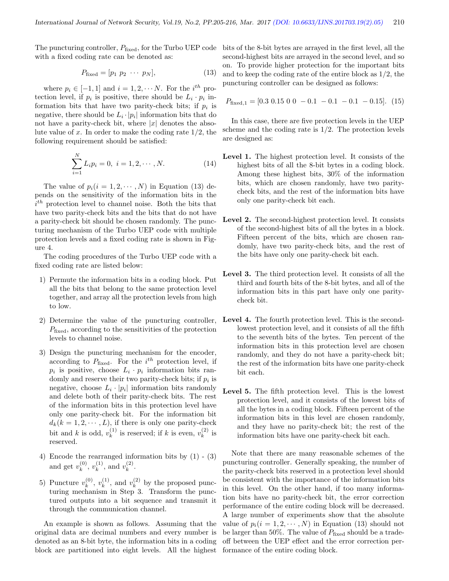The puncturing controller,  $P_{\text{fixed}}$ , for the Turbo UEP code bits of the 8-bit bytes are arrayed in the first level, all the with a fixed coding rate can be denoted as:

$$
P_{\text{fixed}} = [p_1 \ p_2 \ \cdots \ p_N],\tag{13}
$$

where  $p_i \in [-1, 1]$  and  $i = 1, 2, \cdots N$ . For the  $i^{th}$  protection level, if  $p_i$  is positive, there should be  $L_i \cdot p_i$  information bits that have two parity-check bits; if  $p_i$  is negative, there should be  $L_i \cdot |p_i|$  information bits that do not have a parity-check bit, where  $|x|$  denotes the absolute value of  $x$ . In order to make the coding rate  $1/2$ , the following requirement should be satisfied:

$$
\sum_{i=1}^{N} L_i p_i = 0, \ i = 1, 2, \cdots, N.
$$
 (14)

The value of  $p_i(i = 1, 2, \dots, N)$  in Equation (13) depends on the sensitivity of the information bits in the  $i<sup>th</sup>$  protection level to channel noise. Both the bits that have two parity-check bits and the bits that do not have a parity-check bit should be chosen randomly. The puncturing mechanism of the Turbo UEP code with multiple protection levels and a fixed coding rate is shown in Figure 4.

The coding procedures of the Turbo UEP code with a fixed coding rate are listed below:

- 1) Permute the information bits in a coding block. Put all the bits that belong to the same protection level together, and array all the protection levels from high to low.
- 2) Determine the value of the puncturing controller,  $P_{\text{fixed}}$ , according to the sensitivities of the protection levels to channel noise.
- 3) Design the puncturing mechanism for the encoder, according to  $P_{\text{fixed}}$ . For the  $i^{th}$  protection level, if  $p_i$  is positive, choose  $L_i \cdot p_i$  information bits randomly and reserve their two parity-check bits; if  $p_i$  is negative, choose  $L_i \cdot |p_i|$  information bits randomly and delete both of their parity-check bits. The rest of the information bits in this protection level have only one parity-check bit. For the information bit  $d_k(k = 1, 2, \dots, L)$ , if there is only one parity-check bit and k is odd,  $v_k^{(1)}$  $\mathbf{z}_{k}^{(1)}$  is reserved; if k is even,  $v_{k}^{(2)}$  $\frac{1}{k}$  is reserved.
- 4) Encode the rearranged information bits by (1) (3) and get  $v_k^{(0)}$  $\binom{(0)}{k},\,v_k^{(1)}$  $\binom{1}{k}$ , and  $v_k^{(2)}$  $\binom{2}{k}$ .
- 5) Puncture  $v_k^{(0)}$  $\binom{(0)}{k}, \; v_k^{(1)}$  $v_k^{(1)}$ , and  $v_k^{(2)}$  $k^{(2)}$  by the proposed puncturing mechanism in Step 3. Transform the punctured outputs into a bit sequence and transmit it through the communication channel.

An example is shown as follows. Assuming that the original data are decimal numbers and every number is denoted as an 8-bit byte, the information bits in a coding block are partitioned into eight levels. All the highest

second-highest bits are arrayed in the second level, and so on. To provide higher protection for the important bits and to keep the coding rate of the entire block as 1/2, the puncturing controller can be designed as follows:

$$
P_{\text{fixed},1} = [0.3 \ 0.15 \ 0 \ 0 \ -0.1 \ -0.1 \ -0.1 \ -0.15]. \tag{15}
$$

In this case, there are five protection levels in the UEP scheme and the coding rate is  $1/2$ . The protection levels are designed as:

- Level 1. The highest protection level. It consists of the highest bits of all the 8-bit bytes in a coding block. Among these highest bits, 30% of the information bits, which are chosen randomly, have two paritycheck bits, and the rest of the information bits have only one parity-check bit each.
- Level 2. The second-highest protection level. It consists of the second-highest bits of all the bytes in a block. Fifteen percent of the bits, which are chosen randomly, have two parity-check bits, and the rest of the bits have only one parity-check bit each.
- Level 3. The third protection level. It consists of all the third and fourth bits of the 8-bit bytes, and all of the information bits in this part have only one paritycheck bit.
- Level 4. The fourth protection level. This is the secondlowest protection level, and it consists of all the fifth to the seventh bits of the bytes. Ten percent of the information bits in this protection level are chosen randomly, and they do not have a parity-check bit; the rest of the information bits have one parity-check bit each.
- Level 5. The fifth protection level. This is the lowest protection level, and it consists of the lowest bits of all the bytes in a coding block. Fifteen percent of the information bits in this level are chosen randomly, and they have no parity-check bit; the rest of the information bits have one parity-check bit each.

Note that there are many reasonable schemes of the puncturing controller. Generally speaking, the number of the parity-check bits reserved in a protection level should be consistent with the importance of the information bits in this level. On the other hand, if too many information bits have no parity-check bit, the error correction performance of the entire coding block will be decreased. A large number of experiments show that the absolute value of  $p_i(i = 1, 2, \dots, N)$  in Equation (13) should not be larger than 50%. The value of  $P_{\text{fixed}}$  should be a tradeoff between the UEP effect and the error correction performance of the entire coding block.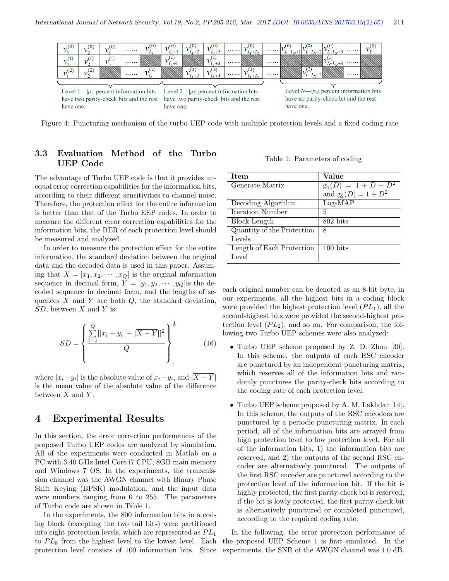

Figure 4: Puncturing mechanism of the turbo UEP code with multiple protection levels and a fixed coding rate

#### 3.3 Evaluation Method of the Turbo UEP Code

The advantage of Turbo UEP code is that it provides unequal error correction capabilities for the information bits, according to their different sensitivities to channel noise. Therefore, the protection effect for the entire information is better than that of the Turbo EEP codes. In order to measure the different error correction capabilities for the information bits, the BER of each protection level should be measured and analyzed.

In order to measure the protection effect for the entire information, the standard deviation between the original data and the decoded data is used in this paper. Assuming that  $X = [x_1, x_2, \dots, x_Q]$  is the original information sequence in decimal form,  $Y = [y_1, y_2, \dots, y_Q]$  is the decoded sequence in decimal form, and the lengths of sequences  $X$  and  $Y$  are both  $Q$ , the standard deviation,  $SD$ , between  $X$  and  $Y$  is:

$$
SD = \left\{ \frac{\sum_{i=1}^{Q} [|x_i - y_i| - |\overline{X} - \overline{Y}|]^2}{Q} \right\}_{.}^{\frac{1}{2}}
$$
(16)

where  $|x_i - y_i|$  is the absolute value of  $x_i - y_i$ , and  $|X - Y|$ is the mean value of the absolute value of the difference between  $X$  and  $Y$ .

## 4 Experimental Results

In this section, the error correction performances of the proposed Turbo UEP codes are analyzed by simulation. All of the experiments were conducted in Matlab on a PC with 3.40 GHz Intel Core i7 CPU, 8GB main memory and Windows 7 OS. In the experiments, the transmission channel was the AWGN channel with Binary Phase Shift Keying (BPSK) modulation, and the input data were numbers ranging from 0 to 255. The parameters of Turbo code are shown in Table 1.

In the experiments, the 800 information bits in a coding block (excepting the two tail bits) were partitioned into eight protection levels, which are represented as  $PL_1$ to  $PL_8$  from the highest level to the lowest level. Each protection level consists of 100 information bits. Since

Table 1: Parameters of coding

| <b>Ttem</b>                | Value                  |  |  |  |  |
|----------------------------|------------------------|--|--|--|--|
| Generate Matrix            | $g_1(D) = 1 + D + D^2$ |  |  |  |  |
|                            | and $g_2(D) = 1 + D^2$ |  |  |  |  |
| Decoding Algorithm         | $Log-MAP$              |  |  |  |  |
| Iteration Number           | 5                      |  |  |  |  |
| Block Length               | 802 bits               |  |  |  |  |
| Quantity of the Protection | 8                      |  |  |  |  |
| Levels                     |                        |  |  |  |  |
| Length of Each Protection  | $100 \text{ bits}$     |  |  |  |  |
| Level                      |                        |  |  |  |  |

each original number can be denoted as an 8-bit byte, in our experiments, all the highest bits in a coding block were provided the highest protection level  $(PL_1)$ , all the second-highest bits were provided the second-highest protection level  $(PL_2)$ , and so on. For comparison, the following two Turbo UEP schemes were also analyzed:

- Turbo UEP scheme proposed by Z. D. Zhou [30]. In this scheme, the outputs of each RSC encoder are punctured by an independent puncturing matrix, which reserves all of the information bits and randomly punctures the parity-check bits according to the coding rate of each protection level.
- Turbo UEP scheme proposed by A. M. Lakhdar [14]. In this scheme, the outputs of the RSC encoders are punctured by a periodic puncturing matrix. In each period, all of the information bits are arrayed from high protection level to low protection level. For all of the information bits, 1) the information bits are reserved, and 2) the outputs of the second RSC encoder are alternatively punctured. The outputs of the first RSC encoder are punctured according to the protection level of the information bit. If the bit is highly protected, the first parity-check bit is reserved; if the bit is lowly protected, the first parity-check bit is alternatively punctured or completed punctured, according to the required coding rate.

In the following, the error protection performance of the proposed UEP Scheme 1 is first simulated. In the experiments, the SNR of the AWGN channel was 1.0 dB.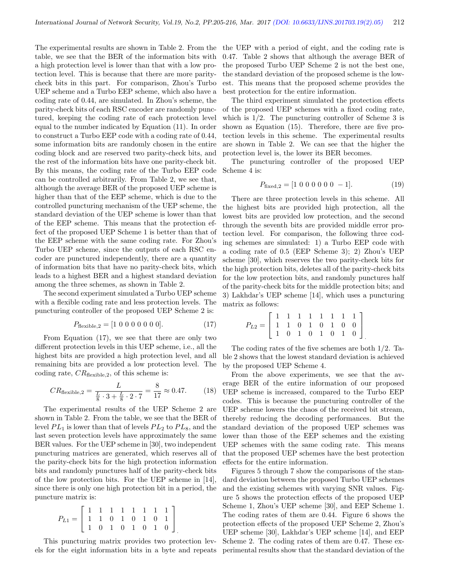The experimental results are shown in Table 2. From the table, we see that the BER of the information bits with a high protection level is lower than that with a low protection level. This is because that there are more paritycheck bits in this part. For comparison, Zhou's Turbo UEP scheme and a Turbo EEP scheme, which also have a coding rate of 0.44, are simulated. In Zhou's scheme, the parity-check bits of each RSC encoder are randomly punctured, keeping the coding rate of each protection level equal to the number indicated by Equation (11). In order to construct a Turbo EEP code with a coding rate of 0.44, some information bits are randomly chosen in the entire coding block and are reserved two parity-check bits, and the rest of the information bits have one parity-check bit. By this means, the coding rate of the Turbo EEP code can be controlled arbitrarily. From Table 2, we see that, although the average BER of the proposed UEP scheme is higher than that of the EEP scheme, which is due to the controlled puncturing mechanism of the UEP scheme, the standard deviation of the UEP scheme is lower than that of the EEP scheme. This means that the protection effect of the proposed UEP Scheme 1 is better than that of the EEP scheme with the same coding rate. For Zhou's Turbo UEP scheme, since the outputs of each RSC encoder are punctured independently, there are a quantity of information bits that have no parity-check bits, which leads to a highest BER and a highest standard deviation among the three schemes, as shown in Table 2.

The second experiment simulated a Turbo UEP scheme with a flexible coding rate and less protection levels. The puncturing controller of the proposed UEP Scheme 2 is:

$$
P_{\text{flexible},2} = [1 \ 0 \ 0 \ 0 \ 0 \ 0 \ 0 \ 0]. \tag{17}
$$

From Equation (17), we see that there are only two different protection levels in this UEP scheme, i.e., all the highest bits are provided a high protection level, and all remaining bits are provided a low protection level. The coding rate,  $CR_{\text{flexible},2}$ , of this scheme is:

$$
CR_{\text{flexible},2} = \frac{L}{\frac{L}{8} \cdot 3 + \frac{L}{8} \cdot 2 \cdot 7} = \frac{8}{17} \approx 0.47. \tag{18}
$$

The experimental results of the UEP Scheme 2 are shown in Table 2. From the table, we see that the BER of level  $PL_1$  is lower than that of levels  $PL_2$  to  $PL_8$ , and the last seven protection levels have approximately the same BER values. For the UEP scheme in [30], two independent puncturing matrices are generated, which reserves all of the parity-check bits for the high protection information bits and randomly punctures half of the parity-check bits of the low protection bits. For the UEP scheme in [14], since there is only one high protection bit in a period, the puncture matrix is:

$$
P_{L1} = \left[ \begin{array}{rrrrrrr} 1 & 1 & 1 & 1 & 1 & 1 & 1 & 1 \\ 1 & 1 & 0 & 1 & 0 & 1 & 0 & 1 \\ 1 & 0 & 1 & 0 & 1 & 0 & 1 & 0 \end{array} \right]
$$

This puncturing matrix provides two protection levels for the eight information bits in a byte and repeats

.

the UEP with a period of eight, and the coding rate is 0.47. Table 2 shows that although the average BER of the proposed Turbo UEP Scheme 2 is not the best one, the standard deviation of the proposed scheme is the lowest. This means that the proposed scheme provides the best protection for the entire information.

The third experiment simulated the protection effects of the proposed UEP schemes with a fixed coding rate, which is  $1/2$ . The puncturing controller of Scheme 3 is shown as Equation (15). Therefore, there are five protection levels in this scheme. The experimental results are shown in Table 2. We can see that the higher the protection level is, the lower its BER becomes.

The puncturing controller of the proposed UEP Scheme 4 is:

$$
P_{\text{fixed},2} = [1 \ 0 \ 0 \ 0 \ 0 \ 0 \ -1]. \tag{19}
$$

There are three protection levels in this scheme. All the highest bits are provided high protection, all the lowest bits are provided low protection, and the second through the seventh bits are provided middle error protection level. For comparison, the following three coding schemes are simulated: 1) a Turbo EEP code with a coding rate of 0.5 (EEP Scheme 3); 2) Zhou's UEP scheme [30], which reserves the two parity-check bits for the high protection bits, deletes all of the parity-check bits for the low protection bits, and randomly punctures half of the parity-check bits for the middle protection bits; and 3) Lakhdar's UEP scheme [14], which uses a puncturing matrix as follows:

$$
P_{L2} = \left[ \begin{array}{rrrrrrr} 1 & 1 & 1 & 1 & 1 & 1 & 1 & 1 \\ 1 & 1 & 0 & 1 & 0 & 1 & 0 & 0 \\ 1 & 0 & 1 & 0 & 1 & 0 & 1 & 0 \end{array} \right]
$$

The coding rates of the five schemes are both 1/2. Table 2 shows that the lowest standard deviation is achieved by the proposed UEP Scheme 4.

From the above experiments, we see that the average BER of the entire information of our proposed UEP scheme is increased, compared to the Turbo EEP codes. This is because the puncturing controller of the UEP scheme lowers the chaos of the received bit stream, thereby reducing the decoding performances. But the standard deviation of the proposed UEP schemes was lower than those of the EEP schemes and the existing UEP schemes with the same coding rate. This means that the proposed UEP schemes have the best protection effects for the entire information.

Figures 5 through 7 show the comparisons of the standard deviation between the proposed Turbo UEP schemes and the existing schemes with varying SNR values. Figure 5 shows the protection effects of the proposed UEP Scheme 1, Zhou's UEP scheme [30], and EEP Scheme 1. The coding rates of them are 0.44. Figure 6 shows the protection effects of the proposed UEP Scheme 2, Zhou's UEP scheme [30], Lakhdar's UEP scheme [14], and EEP Scheme 2. The coding rates of them are 0.47. These experimental results show that the standard deviation of the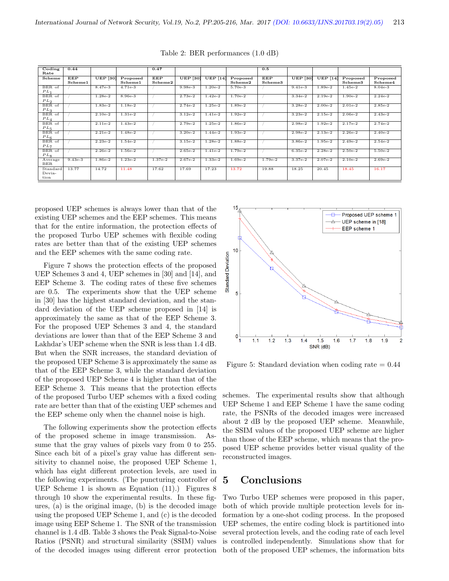| $\overline{\text{Coding}}$ | 0.44       |                 |           | 0.47       |                 |                 |           | 0.5        |                 |                 |           |           |
|----------------------------|------------|-----------------|-----------|------------|-----------------|-----------------|-----------|------------|-----------------|-----------------|-----------|-----------|
| Rate                       |            |                 |           |            |                 |                 |           |            |                 |                 |           |           |
| Scheme                     | <b>EEP</b> | <b>UEP</b> [30] | Proposed  | <b>EEP</b> | <b>UEP</b> [30] | <b>UEP</b> [14] | Proposed  | <b>EEP</b> | <b>UEP</b> [30] | <b>UEP</b> [14] | Proposed  | Proposed  |
|                            | Scheme1    |                 | Scheme1   | Scheme2    |                 |                 | Scheme2   | Scheme3    |                 |                 | Scheme3   | Scheme4   |
| BER of                     |            | $8.47e-3$       | $4.71e-3$ |            | $9.98e-3$       | $1.20e-2$       | $5.70e-3$ |            | $9.41e-3$       | $1.89e-2$       | $1.45e-2$ | $8.04e-3$ |
| $PL_1$                     |            |                 |           |            |                 |                 |           |            |                 |                 |           |           |
| BER of                     |            | $1.28e-2$       | $8.96e-3$ |            | $2.73e-2$       | $1.42e-2$       | $1.70e-2$ |            | $3.34e-2$       | $2.19e-2$       | $1.90e-2$ | $2.24e-2$ |
| PL <sub>2</sub>            |            |                 |           |            |                 |                 |           |            |                 |                 |           |           |
| BER of                     |            | $1.83e-2$       | $1.18e-2$ |            | $2.74e-2$       | $1.25e-2$       | $1.89e-2$ |            | $3.28e-2$       | $2.00e-2$       | $2.01e-2$ | $2.85e-2$ |
| $PL_3$                     |            |                 |           |            |                 |                 |           |            |                 |                 |           |           |
| BER of                     |            | $2.10e-2$       | $1.31e-2$ |            | $3.12e-2$       | $1.41e-2$       | $1.92e-2$ |            | $3.23e-2$       | $2.15e-2$       | $2.06e-2$ | $2.43e-2$ |
| $PL_4$                     |            |                 |           |            |                 |                 |           |            |                 |                 |           |           |
| BER of                     |            | $2.11e-2$       | $1.43e-2$ |            | $2.79e-2$       | $1.25e-2$       | $1.86e-2$ |            | $2.98e-2$       | $1.92e-2$       | $2.17e-2$ | $2.74e-2$ |
| $PL_5$                     |            |                 |           |            |                 |                 |           |            |                 |                 |           |           |
| BER of                     |            | $2.21e-2$       | $1.48e-2$ |            | $3.20e-2$       | $1.44e-2$       | $1.93e-2$ |            | $2.98e-2$       | $2.13e-2$       | $2.26e-2$ | $2.40e-2$ |
| $PL_6$                     |            |                 |           |            |                 |                 |           |            |                 |                 |           |           |
| BER of                     |            | $2.23e-2$       | $1.54e-2$ |            | $3.15e-2$       | $1.28e-2$       | 1.88e-2   |            | 3.86e-2         | $1.95e-2$       | $2.49e-2$ | $2.54e-2$ |
| $PL_7$                     |            |                 |           |            |                 |                 |           |            |                 |                 |           |           |
| BER of                     |            | $2.26e-2$       | $1.56e-2$ |            | $2.65e-2$       | $1.41e-2$       | $1.79e-2$ |            | $6.35e-2$       | $2.28e-2$       | $2.50e-2$ | $5.50e-2$ |
| $PL_8$                     |            |                 |           |            |                 |                 |           |            |                 |                 |           |           |
| Average                    | $9.43e-3$  | $1.86e-2$       | $1.23e-2$ | $1.37e-2$  | $2.67e-2$       | $1.33e-2$       | $1.69e-2$ | $1.79e-2$  | $3.37e-2$       | $2.07e-2$       | $2.10e-2$ | $2.69e-2$ |
| <b>BER</b>                 |            |                 |           |            |                 |                 |           |            |                 |                 |           |           |
| Standard                   | 13.77      | 14.72           | 11.48     | 17.62      | 17.69           | 17.23           | 13.72     | 19.88      | 18.25           | 20.45           | 18.45     | 16.17     |
| Devia-                     |            |                 |           |            |                 |                 |           |            |                 |                 |           |           |
| tion                       |            |                 |           |            |                 |                 |           |            |                 |                 |           |           |
|                            |            |                 |           |            |                 |                 |           |            |                 |                 |           |           |

Table 2: BER performances (1.0 dB)

proposed UEP schemes is always lower than that of the existing UEP schemes and the EEP schemes. This means that for the entire information, the protection effects of the proposed Turbo UEP schemes with flexible coding rates are better than that of the existing UEP schemes and the EEP schemes with the same coding rate.

Figure 7 shows the protection effects of the proposed UEP Schemes 3 and 4, UEP schemes in [30] and [14], and EEP Scheme 3. The coding rates of these five schemes are 0.5. The experiments show that the UEP scheme in [30] has the highest standard deviation, and the standard deviation of the UEP scheme proposed in [14] is approximately the same as that of the EEP Scheme 3. For the proposed UEP Schemes 3 and 4, the standard deviations are lower than that of the EEP Scheme 3 and Lakhdar's UEP scheme when the SNR is less than 1.4 dB. But when the SNR increases, the standard deviation of the proposed UEP Scheme 3 is approximately the same as that of the EEP Scheme 3, while the standard deviation of the proposed UEP Scheme 4 is higher than that of the EEP Scheme 3. This means that the protection effects of the proposed Turbo UEP schemes with a fixed coding rate are better than that of the existing UEP schemes and the EEP scheme only when the channel noise is high.

The following experiments show the protection effects of the proposed scheme in image transmission. Assume that the gray values of pixels vary from 0 to 255. Since each bit of a pixel's gray value has different sensitivity to channel noise, the proposed UEP Scheme 1, which has eight different protection levels, are used in the following experiments. (The puncturing controller of UEP Scheme 1 is shown as Equation (11).) Figures 8 through 10 show the experimental results. In these figures, (a) is the original image, (b) is the decoded image using the proposed UEP Scheme 1, and (c) is the decoded image using EEP Scheme 1. The SNR of the transmission channel is 1.4 dB. Table 3 shows the Peak Signal-to-Noise Ratios (PSNR) and structural similarity (SSIM) values of the decoded images using different error protection



Figure 5: Standard deviation when coding rate  $= 0.44$ 

schemes. The experimental results show that although UEP Scheme 1 and EEP Scheme 1 have the same coding rate, the PSNRs of the decoded images were increased about 2 dB by the proposed UEP scheme. Meanwhile, the SSIM values of the proposed UEP scheme are higher than those of the EEP scheme, which means that the proposed UEP scheme provides better visual quality of the reconstructed images.

### 5 Conclusions

Two Turbo UEP schemes were proposed in this paper, both of which provide multiple protection levels for information by a one-shot coding process. In the proposed UEP schemes, the entire coding block is partitioned into several protection levels, and the coding rate of each level is controlled independently. Simulations show that for both of the proposed UEP schemes, the information bits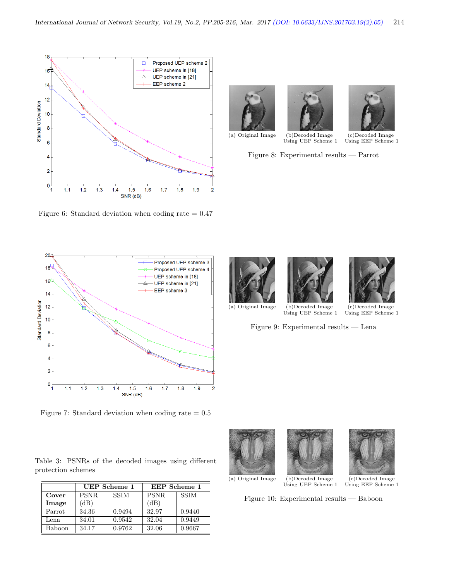

Figure 6: Standard deviation when coding rate  $= 0.47$ 







Using UEP Scheme  $1$ 

(a) Original Image (b)Decoded Image (c)Decoded Image

Figure 8: Experimental results — Parrot









(a) Original Image (b)Decoded Image (c)Decoded Image Using UEP Scheme  $1$ 

Figure 9: Experimental results — Lena

Figure 7: Standard deviation when coding rate  $= 0.5$ 

Table 3: PSNRs of the decoded images using different protection schemes

|        | UEP Scheme 1 |             | <b>EEP</b> Scheme 1 |             |  |  |
|--------|--------------|-------------|---------------------|-------------|--|--|
| Cover  | <b>PSNR</b>  | <b>SSIM</b> | <b>PSNR</b>         | <b>SSIM</b> |  |  |
| Image  | $\Delta$ B)  |             | (dB)                |             |  |  |
| Parrot | 34.36        | 0.9494      | 32.97               | 0.9440      |  |  |
| Lena   | 34.01        | 0.9542      | 32.04               | 0.9449      |  |  |
| Baboon | 34.17        | 0.9762      | 32.06               | 0.9667      |  |  |





(a) Original Image (b)Decoded Image (c)Decoded Image Using UEP Scheme 1 Using EEP Scheme



Using EEP Scheme 1

Figure 10: Experimental results — Baboon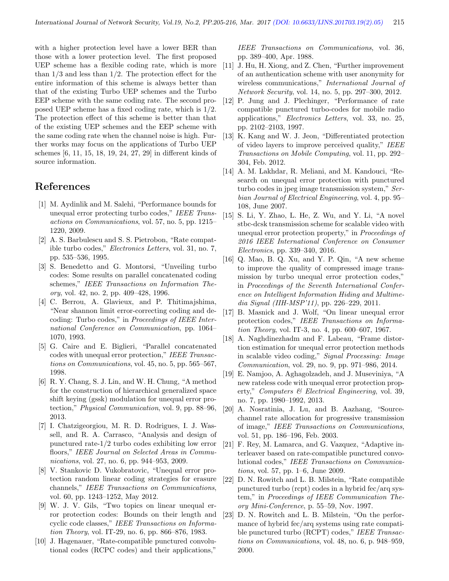with a higher protection level have a lower BER than those with a lower protection level. The first proposed UEP scheme has a flexible coding rate, which is more than  $1/3$  and less than  $1/2$ . The protection effect for the entire information of this scheme is always better than that of the existing Turbo UEP schemes and the Turbo EEP scheme with the same coding rate. The second proposed UEP scheme has a fixed coding rate, which is 1/2. The protection effect of this scheme is better than that of the existing UEP schemes and the EEP scheme with the same coding rate when the channel noise is high. Further works may focus on the applications of Turbo UEP schemes [6, 11, 15, 18, 19, 24, 27, 29] in different kinds of source information.

# References

- [1] M. Aydinlik and M. Salehi, "Performance bounds for unequal error protecting turbo codes," IEEE Transactions on Communications, vol. 57, no. 5, pp. 1215– 1220, 2009.
- [2] A. S. Barbulescu and S. S. Pietrobon, "Rate compatible turbo codes," Electronics Letters, vol. 31, no. 7, pp. 535–536, 1995.
- [3] S. Benedetto and G. Montorsi, "Unveiling turbo codes: Some results on parallel concatenated coding schemes," IEEE Transactions on Information Theory, vol. 42, no. 2, pp. 409–428, 1996.
- [4] C. Berrou, A. Glavieux, and P. Thitimajshima, "Near shannon limit error-correcting coding and decoding: Turbo codes," in Proceedings of IEEE International Conference on Communication, pp. 1064– 1070, 1993.
- [5] G. Caire and E. Biglieri, "Parallel concatenated codes with unequal error protection," IEEE Transactions on Communications, vol. 45, no. 5, pp. 565–567, 1998.
- [6] R. Y. Chang, S. J. Lin, and W. H. Chung, "A method for the construction of hierarchical generalized space shift keying (gssk) modulation for unequal error protection," Physical Communication, vol. 9, pp. 88–96, 2013.
- [7] I. Chatzigeorgiou, M. R. D. Rodrigues, I. J. Wassell, and R. A. Carrasco, "Analysis and design of punctured rate-1/2 turbo codes exhibiting low error floors," IEEE Journal on Selected Areas in Communications, vol. 27, no. 6, pp. 944–953, 2009.
- [8] V. Stankovic D. Vukobratovic, "Unequal error protection random linear coding strategies for erasure channels," IEEE Transactions on Communications, vol. 60, pp. 1243–1252, May 2012.
- [9] W. J. V. Gils, "Two topics on linear unequal error protection codes: Bounds on their length and cyclic code classes," IEEE Transactions on Information Theory, vol. IT-29, no. 6, pp. 866–876, 1983.
- [10] J. Hagenauer, "Rate-compatible punctured convolutional codes (RCPC codes) and their applications,"

IEEE Transactions on Communications, vol. 36, pp. 389–400, Apr. 1988.

- [11] J. Hu, H. Xiong, and Z. Chen, "Further improvement of an authentication scheme with user anonymity for wireless communications," International Journal of Network Security, vol. 14, no. 5, pp. 297–300, 2012.
- [12] P. Jung and J. Plechinger, "Performance of rate compatible punctured turbo-codes for mobile radio applications," Electronics Letters, vol. 33, no. 25, pp. 2102–2103, 1997.
- [13] K. Kang and W. J. Jeon, "Differentiated protection of video layers to improve perceived quality," IEEE Transactions on Mobile Computing, vol. 11, pp. 292– 304, Feb. 2012.
- [14] A. M. Lakhdar, R. Meliani, and M. Kandouci, "Research on unequal error protection with punctured turbo codes in jpeg image transmission system," Serbian Journal of Electrical Engineering, vol. 4, pp. 95– 108, June 2007.
- [15] S. Li, Y. Zhao, L. He, Z. Wu, and Y. Li, "A novel stbc-dcsk transmission scheme for scalable video with unequal error protection property," in Proceedings of 2016 IEEE International Conference on Consumer Electronics, pp. 339–340, 2016.
- [16] Q. Mao, B. Q. Xu, and Y. P. Qin, "A new scheme to improve the quality of compressed image transmission by turbo unequal error protection codes," in Proceedings of the Seventh International Conference on Intelligent Information Hiding and Multimedia Signal (IIH-MSP'11), pp. 226–229, 2011.
- [17] B. Masnick and J. Wolf, "On linear unequal error protection codes," IEEE Transactions on Information Theory, vol. IT-3, no. 4, pp. 600–607, 1967.
- [18] A. Naghdinezhadm and F. Labeau, "Frame distortion estimation for unequal error protection methods in scalable video coding," Signal Processing: Image Communication, vol. 29, no. 9, pp. 971–986, 2014.
- [19] E. Namjoo, A. Aghagolzadeh, and J. Museviniya, "A new rateless code with unequal error protection property," Computers & Electrical Engineering, vol. 39, no. 7, pp. 1980–1992, 2013.
- [20] A. Nosratinia, J. Lu, and B. Aazhang, "Sourcechannel rate allocation for progressive transmission of image," IEEE Transactions on Communications, vol. 51, pp. 186–196, Feb. 2003.
- [21] F. Rey, M. Lamarca, and G. Vazquez, "Adaptive interleaver based on rate-compatible punctured convolutional codes," IEEE Transactions on Communications, vol. 57, pp. 1–6, June 2009.
- [22] D. N. Rowitch and L. B. Milstein, "Rate compatible punctured turbo (rcpt) codes in a hybrid fec/arq system," in Proceedings of IEEE Communication Theory Mini-Conference, p. 55–59, Nov. 1997.
- [23] D. N. Rowitch and L. B. Milstein, "On the performance of hybrid fec/arq systems using rate compatible punctured turbo (RCPT) codes," IEEE Transactions on Communications, vol. 48, no. 6, p. 948–959, 2000.